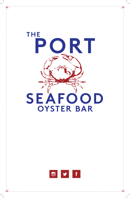